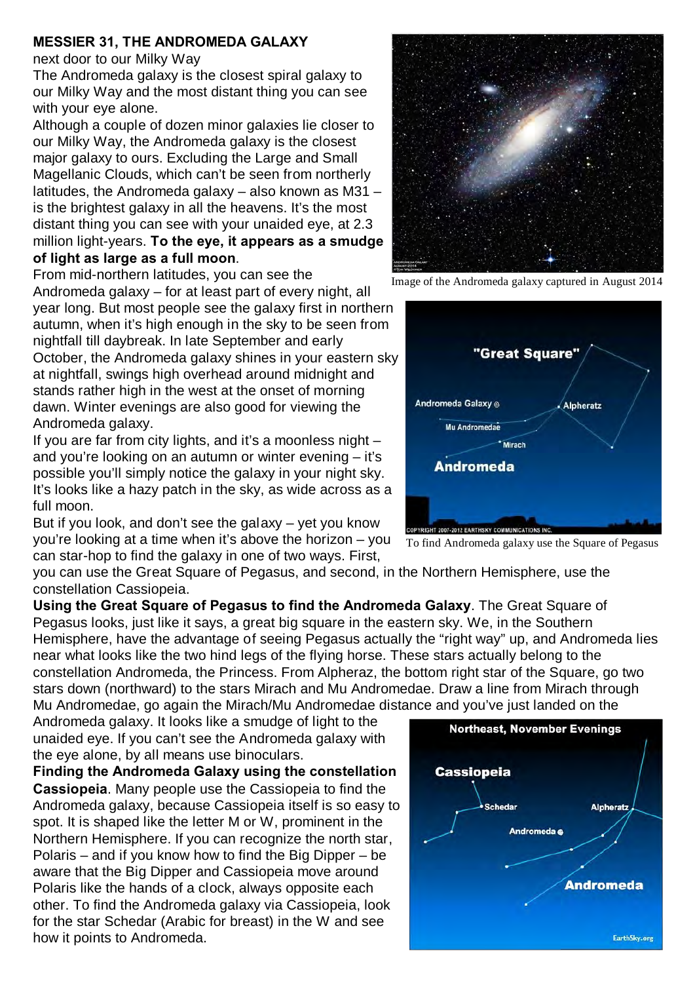## **MESSIER 31, THE ANDROMEDA GALAXY**

## next door to our Milky Way

The Andromeda galaxy is the closest spiral galaxy to our Milky Way and the most distant thing you can see with your eye alone.

Although a couple of dozen minor galaxies lie closer to our Milky Way, the Andromeda galaxy is the closest major galaxy to ours. Excluding the Large and Small Magellanic Clouds, which can't be seen from northerly latitudes, the Andromeda galaxy – also known as M31 – is the brightest galaxy in all the heavens. It's the most distant thing you can see with your unaided eye, at 2.3 million light-years. **To the eye, it appears as a smudge of light as large as a full moon**.

From mid-northern latitudes, you can see the Andromeda galaxy – for at least part of every night, all

year long. But most people see the galaxy first in northern autumn, when it's high enough in the sky to be seen from nightfall till daybreak. In late September and early October, the Andromeda galaxy shines in your eastern sky at nightfall, swings high overhead around midnight and stands rather high in the west at the onset of morning dawn. Winter evenings are also good for viewing the Andromeda galaxy.

If you are far from city lights, and it's a moonless night – and you're looking on an autumn or winter evening – it's possible you'll simply notice the galaxy in your night sky. It's looks like a hazy patch in the sky, as wide across as a full moon.

But if you look, and don't see the galaxy – yet you know you're looking at a time when it's above the horizon – you can star-hop to find the galaxy in one of two ways. First,

you can use the Great Square of Pegasus, and second, in the Northern Hemisphere, use the constellation Cassiopeia.

**Using the Great Square of Pegasus to find the Andromeda Galaxy**. The Great Square of Pegasus looks, just like it says, a great big square in the eastern sky. We, in the Southern Hemisphere, have the advantage of seeing Pegasus actually the "right way" up, and Andromeda lies near what looks like the two hind legs of the flying horse. These stars actually belong to the constellation Andromeda, the Princess. From Alpheraz, the bottom right star of the Square, go two stars down (northward) to the stars Mirach and Mu Andromedae. Draw a line from Mirach through Mu Andromedae, go again the Mirach/Mu Andromedae distance and you've just landed on the

Andromeda galaxy. It looks like a smudge of light to the unaided eye. If you can't see the Andromeda galaxy with the eye alone, by all means use binoculars.

**Finding the Andromeda Galaxy using the constellation Cassiopeia**. Many people use the Cassiopeia to find the Andromeda galaxy, because Cassiopeia itself is so easy to spot. It is shaped like the letter M or W, prominent in the Northern Hemisphere. If you can recognize the north star, Polaris – and if you know how to find the Big Dipper – be aware that the Big Dipper and Cassiopeia move around Polaris like the hands of a clock, always opposite each other. To find the Andromeda galaxy via Cassiopeia, look for the star Schedar (Arabic for breast) in the W and see how it points to Andromeda.

To find Andromeda galaxy use the Square of Pegasus



Image of the Andromeda galaxy captured in August 2014